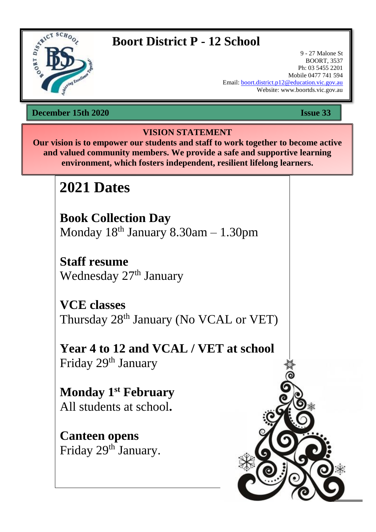

## **Boort District P - 12 School**

9 - 27 Malone St BOORT, 3537 Ph: 03 5455 2201 Mobile 0477 741 594 Email: [boort.district.p12@education.vic.gov.au](mailto:boort.district.p12@education.vic.gov.au) Website: www.boortds.vic.gov.au

<sup>15</sup>**December 15th 2020 Issue 33**

## **VISION STATEMENT**

**Our vision is to empower our students and staff to work together to become active and valued community members. We provide a safe and supportive learning environment, which fosters independent, resilient lifelong learners.**

## **2021 Dates**

**Book Collection Day**  Monday  $18<sup>th</sup>$  January  $8.30$ am  $- 1.30$ pm

**Staff resume**  Wednesday 27<sup>th</sup> January

**VCE classes**  Thursday 28<sup>th</sup> January (No VCAL or VET)

**Year 4 to 12 and VCAL / VET at school** Friday 29<sup>th</sup> January

**Monday 1st February**  All students at school**.**

**Canteen opens**  Friday 29<sup>th</sup> January.